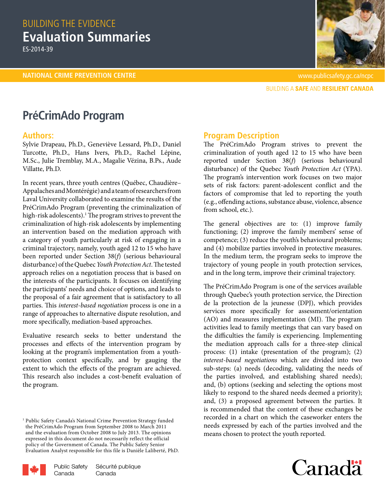# BUILDING THE EVIDENCE **Evaluation Summaries**

ES-2014-39



**BUILDING A SAFE AND RESILIENT CANADA** 

# **PréCrimAdo Program**

### **Authors:**

Sylvie Drapeau, Ph.D., Geneviève Lessard, Ph.D., Daniel Turcotte, Ph.D., Hans Ivers, Ph.D., Rachel Lépine, M.Sc., Julie Tremblay, M.A., Magalie Vézina, B.Ps., Aude Villatte, Ph.D.

In recent years, three youth centres (Québec, Chaudière– Appalaches and Montérégie) and a team of researchers from Laval University collaborated to examine the results of the PréCrimAdo Program (preventing the criminalization of high-risk adolescents).<sup>1</sup> The program strives to prevent the criminalization of high-risk adolescents by implementing an intervention based on the mediation approach with a category of youth particularly at risk of engaging in a criminal trajectory, namely, youth aged 12 to 15 who have been reported under Section 38(*f*) (serious behavioural disturbance) of the Quebec *Youth Protection Act*. The tested approach relies on a negotiation process that is based on the interests of the participants. It focuses on identifying the participants' needs and choice of options, and leads to the proposal of a fair agreement that is satisfactory to all parties. This *interest-based negotiation* process is one in a range of approaches to alternative dispute resolution, and more specifically, mediation-based approaches.

Evaluative research seeks to better understand the processes and effects of the intervention program by looking at the program's implementation from a youthprotection context specifically, and by gauging the extent to which the effects of the program are achieved. This research also includes a cost-benefit evaluation of the program.

<sup>&</sup>lt;sup>1</sup> Public Safety Canada's National Crime Prevention Strategy funded the PréCrimAdo Program from September 2008 to March 2011 and the evaluation from October 2008 to July 2013. The opinions expressed in this document do not necessarily reflect the official policy of the Government of Canada. The Public Safety Senior Evaluation Analyst responsible for this file is Danièle Laliberté, PhD.



## **Program Description**

The PréCrimAdo Program strives to prevent the criminalization of youth aged 12 to 15 who have been reported under Section 38(*f*) (serious behavioural disturbance) of the Quebec *Youth Protection Act* (YPA). The program's intervention work focuses on two major sets of risk factors: parent-adolescent conflict and the factors of compromise that led to reporting the youth (e.g., offending actions, substance abuse, violence, absence from school, etc.).

The general objectives are to: (1) improve family functioning; (2) improve the family members' sense of competence; (3) reduce the youth's behavioural problems; and (4) mobilize parties involved in protective measures. In the medium term, the program seeks to improve the trajectory of young people in youth protection services, and in the long term, improve their criminal trajectory.

The PréCrimAdo Program is one of the services available through Quebec's youth protection service, the Direction de la protection de la jeunesse (DPJ), which provides services more specifically for assessment/orientation (AO) and measures implementation (MI). The program activities lead to family meetings that can vary based on the difficulties the family is experiencing. Implementing the mediation approach calls for a three-step clinical process: (1) intake (presentation of the program); (2) *interest-based negotiations* which are divided into two sub-steps: (a) needs (decoding, validating the needs of the parties involved, and establishing shared needs); and, (b) options (seeking and selecting the options most likely to respond to the shared needs deemed a priority); and, (3) a proposed agreement between the parties. It is recommended that the content of these exchanges be recorded in a chart on which the caseworker enters the needs expressed by each of the parties involved and the means chosen to protect the youth reported.

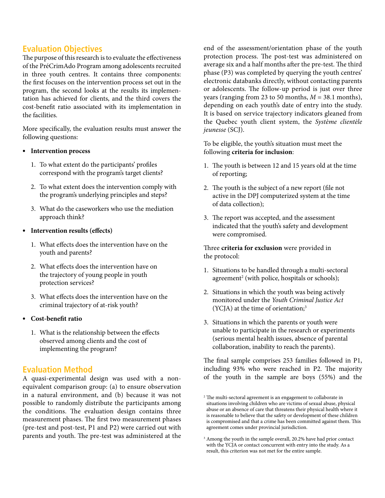# **Evaluation Objectives**

The purpose of this research is to evaluate the effectiveness of the PréCrimAdo Program among adolescents recruited in three youth centres. It contains three components: the first focuses on the intervention process set out in the program, the second looks at the results its implementation has achieved for clients, and the third covers the cost-benefit ratio associated with its implementation in the facilities.

More specifically, the evaluation results must answer the following questions:

#### **• Intervention process**

- 1. To what extent do the participants' profiles correspond with the program's target clients?
- 2. To what extent does the intervention comply with the program's underlying principles and steps?
- 3. What do the caseworkers who use the mediation approach think?
- **• Intervention results (effects)**
	- 1. What effects does the intervention have on the youth and parents?
	- 2. What effects does the intervention have on the trajectory of young people in youth protection services?
	- 3. What effects does the intervention have on the criminal trajectory of at-risk youth?

#### **• Cost-benefit ratio**

1. What is the relationship between the effects observed among clients and the cost of implementing the program?

# **Evaluation Method**

A quasi-experimental design was used with a nonequivalent comparison group: (a) to ensure observation in a natural environment, and (b) because it was not possible to randomly distribute the participants among the conditions. The evaluation design contains three measurement phases. The first two measurement phases (pre-test and post-test, P1 and P2) were carried out with parents and youth. The pre-test was administered at the

end of the assessment/orientation phase of the youth protection process. The post-test was administered on average six and a half months after the pre-test. The third phase (P3) was completed by querying the youth centres' electronic databanks directly, without contacting parents or adolescents. The follow-up period is just over three years (ranging from 23 to 50 months, *M* = 38.1 months), depending on each youth's date of entry into the study. It is based on service trajectory indicators gleaned from the Quebec youth client system, the *Système clientèle jeunesse* (SCJ).

To be eligible, the youth's situation must meet the following **criteria for inclusion**:

- 1. The youth is between 12 and 15 years old at the time of reporting;
- 2. The youth is the subject of a new report (file not active in the DPJ computerized system at the time of data collection);
- 3. The report was accepted, and the assessment indicated that the youth's safety and development were compromised.

Three **criteria for exclusion** were provided in the protocol:

- 1. Situations to be handled through a multi-sectoral agreement2 (with police, hospitals or schools);
- 2. Situations in which the youth was being actively monitored under the *Youth Criminal Justice Act*  (YCJA) at the time of orientation;<sup>3</sup>
- 3. Situations in which the parents or youth were unable to participate in the research or experiments (serious mental health issues, absence of parental collaboration, inability to reach the parents).

The final sample comprises 253 families followed in P1, including 93% who were reached in P2. The majority of the youth in the sample are boys (55%) and the

 $^{\rm 2}$  The multi-sectoral agreement is an engagement to collaborate in situations involving children who are victims of sexual abuse, physical abuse or an absence of care that threatens their physical health where it is reasonable to believe that the safety or development of these children is compromised and that a crime has been committed against them. This agreement comes under provincial jurisdiction.

<sup>&</sup>lt;sup>3</sup> Among the youth in the sample overall, 20.2% have had prior contact with the YCJA or contact concurrent with entry into the study. As a result, this criterion was not met for the entire sample.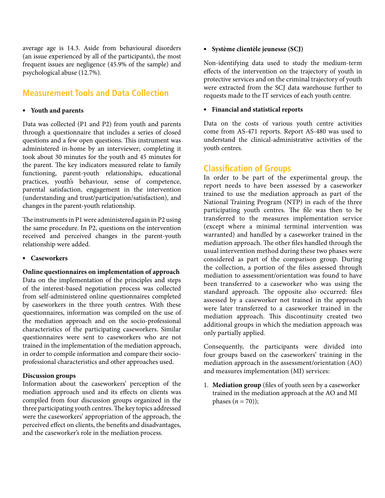average age is 14.3. Aside from behavioural disorders (an issue experienced by all of the participants), the most frequent issues are negligence (45.9% of the sample) and psychological abuse (12.7%).

# **Measurement Tools and Data Collection**

#### **• Youth and parents**

Data was collected (P1 and P2) from youth and parents through a questionnaire that includes a series of closed questions and a few open questions. This instrument was administered in-home by an interviewer; completing it took about 30 minutes for the youth and 45 minutes for the parent. The key indicators measured relate to family functioning, parent-youth relationships, educational practices, youth's behaviour, sense of competence, parental satisfaction, engagement in the intervention (understanding and trust/participation/satisfaction), and changes in the parent-youth relationship.

The instruments in P1 were administered again in P2 using the same procedure. In P2, questions on the intervention received and perceived changes in the parent-youth relationship were added.

**• Caseworkers**

#### **Online questionnaires on implementation of approach**

Data on the implementation of the principles and steps of the interest-based negotiation process was collected from self-administered online questionnaires completed by caseworkers in the three youth centres. With these questionnaires, information was compiled on the use of the mediation approach and on the socio-professional characteristics of the participating caseworkers. Similar questionnaires were sent to caseworkers who are not trained in the implementation of the mediation approach, in order to compile information and compare their socioprofessional characteristics and other approaches used.

#### **Discussion groups**

Information about the caseworkers' perception of the mediation approach used and its effects on clients was compiled from four discussion groups organized in the three participating youth centres. The key topics addressed were the caseworkers' appropriation of the approach, the perceived effect on clients, the benefits and disadvantages, and the caseworker's role in the mediation process.

#### **• Système clientèle jeunesse (SCJ)**

Non-identifying data used to study the medium-term effects of the intervention on the trajectory of youth in protective services and on the criminal trajectory of youth were extracted from the SCJ data warehouse further to requests made to the IT services of each youth centre.

#### **• Financial and statistical reports**

Data on the costs of various youth centre activities come from AS-471 reports. Report AS-480 was used to understand the clinical-administrative activities of the youth centres.

## **Classification of Groups**

In order to be part of the experimental group, the report needs to have been assessed by a caseworker trained to use the mediation approach as part of the National Training Program (NTP) in each of the three participating youth centres. The file was then to be transferred to the measures implementation service (except where a minimal terminal intervention was warranted) and handled by a caseworker trained in the mediation approach. The other files handled through the usual intervention method during these two phases were considered as part of the comparison group. During the collection, a portion of the files assessed through mediation to assessment/orientation was found to have been transferred to a caseworker who was using the standard approach. The opposite also occurred: files assessed by a caseworker not trained in the approach were later transferred to a caseworker trained in the mediation approach. This discontinuity created two additional groups in which the mediation approach was only partially applied.

Consequently, the participants were divided into four groups based on the caseworkers' training in the mediation approach in the assessment/orientation (AO) and measures implementation (MI) services:

1. **Mediation group** (files of youth seen by a caseworker trained in the mediation approach at the AO and MI phases  $(n = 70)$ );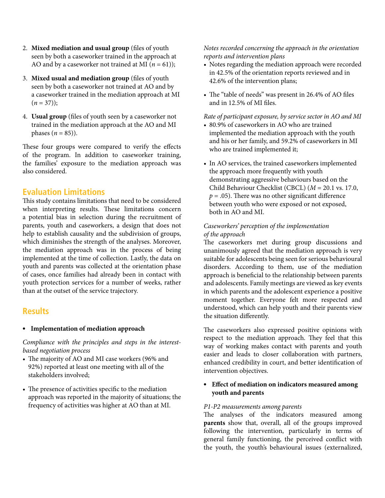- 2. **Mixed mediation and usual group** (files of youth seen by both a caseworker trained in the approach at AO and by a caseworker not trained at MI  $(n = 61)$ ;
- 3. **Mixed usual and mediation group** (files of youth seen by both a caseworker not trained at AO and by a caseworker trained in the mediation approach at MI  $(n = 37)$ ;
- 4. **Usual group** (files of youth seen by a caseworker not trained in the mediation approach at the AO and MI phases  $(n = 85)$ ).

These four groups were compared to verify the effects of the program. In addition to caseworker training, the families' exposure to the mediation approach was also considered.

# **Evaluation Limitations**

This study contains limitations that need to be considered when interpreting results. These limitations concern a potential bias in selection during the recruitment of parents, youth and caseworkers, a design that does not help to establish causality and the subdivision of groups, which diminishes the strength of the analyses. Moreover, the mediation approach was in the process of being implemented at the time of collection. Lastly, the data on youth and parents was collected at the orientation phase of cases, once families had already been in contact with youth protection services for a number of weeks, rather than at the outset of the service trajectory.

### **Results**

#### **• Implementation of mediation approach**

*Compliance with the principles and steps in the interestbased negotiation process*

- The majority of AO and MI case workers (96% and 92%) reported at least one meeting with all of the stakeholders involved;
- The presence of activities specific to the mediation approach was reported in the majority of situations; the frequency of activities was higher at AO than at MI.

#### *Notes recorded concerning the approach in the orientation reports and intervention plans*

- Notes regarding the mediation approach were recorded in 42.5% of the orientation reports reviewed and in 42.6% of the intervention plans;
- The "table of needs" was present in 26.4% of AO files and in 12.5% of MI files.

# *Rate of participant exposure, by service sector in AO and MI*

- 80.9% of caseworkers in AO who are trained implemented the mediation approach with the youth and his or her family, and 59.2% of caseworkers in MI who are trained implemented it;
- In AO services, the trained caseworkers implemented the approach more frequently with youth demonstrating aggressive behaviours based on the Child Behaviour Checklist (CBCL) (*M* = 20.1 vs. 17.0,  $p = .05$ ). There was no other significant difference between youth who were exposed or not exposed, both in AO and MI.

#### *Caseworkers' perception of the implementation of the approach*

The caseworkers met during group discussions and unanimously agreed that the mediation approach is very suitable for adolescents being seen for serious behavioural disorders. According to them, use of the mediation approach is beneficial to the relationship between parents and adolescents. Family meetings are viewed as key events in which parents and the adolescent experience a positive moment together. Everyone felt more respected and understood, which can help youth and their parents view the situation differently.

The caseworkers also expressed positive opinions with respect to the mediation approach. They feel that this way of working makes contact with parents and youth easier and leads to closer collaboration with partners, enhanced credibility in court, and better identification of intervention objectives.

#### **• Effect of mediation on indicators measured among youth and parents**

#### *P1-P2 measurements among parents*

The analyses of the indicators measured among **parents** show that, overall, all of the groups improved following the intervention, particularly in terms of general family functioning, the perceived conflict with the youth, the youth's behavioural issues (externalized,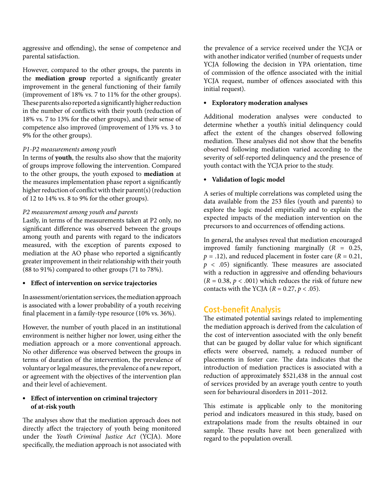aggressive and offending), the sense of competence and parental satisfaction.

However, compared to the other groups, the parents in the **mediation group** reported a significantly greater improvement in the general functioning of their family (improvement of 18% vs. 7 to 11% for the other groups). These parents also reported a significantly higher reduction in the number of conflicts with their youth (reduction of 18% vs. 7 to 13% for the other groups), and their sense of competence also improved (improvement of 13% vs. 3 to 9% for the other groups).

#### *P1-P2 measurements among youth*

In terms of **youth**, the results also show that the majority of groups improve following the intervention. Compared to the other groups, the youth exposed to **mediation** at the measures implementation phase report a significantly higher reduction of conflict with their parent(s) (reduction of 12 to 14% vs. 8 to 9% for the other groups).

#### *P2 measurement among youth and parents*

Lastly, in terms of the measurements taken at P2 only, no significant difference was observed between the groups among youth and parents with regard to the indicators measured, with the exception of parents exposed to mediation at the AO phase who reported a significantly greater improvement in their relationship with their youth (88 to 91%) compared to other groups (71 to 78%).

#### **• Effect of intervention on service trajectories**

In assessment/orientation services, the mediation approach is associated with a lower probability of a youth receiving final placement in a family-type resource (10% vs. 36%).

However, the number of youth placed in an institutional environment is neither higher nor lower, using either the mediation approach or a more conventional approach. No other difference was observed between the groups in terms of duration of the intervention, the prevalence of voluntary or legal measures, the prevalence of a new report, or agreement with the objectives of the intervention plan and their level of achievement.

#### **• Effect of intervention on criminal trajectory of at-risk youth**

The analyses show that the mediation approach does not directly affect the trajectory of youth being monitored under the *Youth Criminal Justice Act* (YCJA). More specifically, the mediation approach is not associated with

the prevalence of a service received under the YCJA or with another indicator verified (number of requests under YCJA following the decision in YPA orientation, time of commission of the offence associated with the initial YCJA request, number of offences associated with this initial request).

#### **• Exploratory moderation analyses**

Additional moderation analyses were conducted to determine whether a youth's initial delinquency could affect the extent of the changes observed following mediation. These analyses did not show that the benefits observed following mediation varied according to the severity of self-reported delinquency and the presence of youth contact with the YCJA prior to the study.

#### **• Validation of logic model**

A series of multiple correlations was completed using the data available from the 253 files (youth and parents) to explore the logic model empirically and to explain the expected impacts of the mediation intervention on the precursors to and occurrences of offending actions.

In general, the analyses reveal that mediation encouraged improved family functioning marginally (*R* = 0.25,  $p = .12$ ), and reduced placement in foster care ( $R = 0.21$ ,  $p \lt .05$ ) significantly. These measures are associated with a reduction in aggressive and offending behaviours  $(R = 0.38, p < .001)$  which reduces the risk of future new contacts with the YCJA  $(R = 0.27, p < .05)$ .

# **Cost-benefit Analysis**

The estimated potential savings related to implementing the mediation approach is derived from the calculation of the cost of intervention associated with the only benefit that can be gauged by dollar value for which significant effects were observed, namely, a reduced number of placements in foster care. The data indicates that the introduction of mediation practices is associated with a reduction of approximately \$521,438 in the annual cost of services provided by an average youth centre to youth seen for behavioural disorders in 2011–2012.

This estimate is applicable only to the monitoring period and indicators measured in this study, based on extrapolations made from the results obtained in our sample. These results have not been generalized with regard to the population overall.